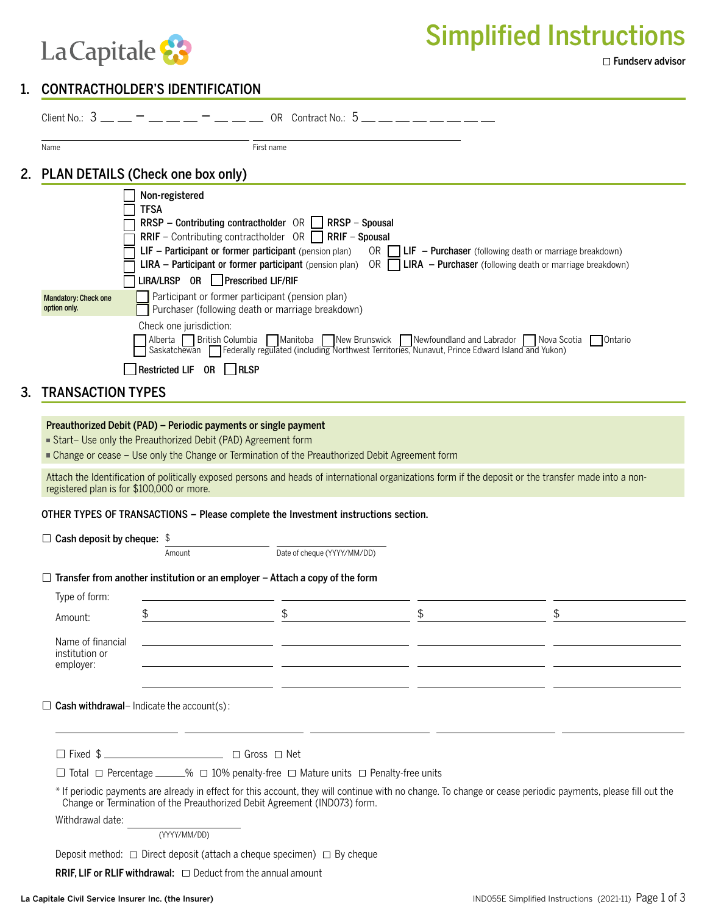

Simplified Instructions

## 1. CONTRACTHOLDER'S IDENTIFICATION

|                                                                                                                                                                                                                                                                                                                      |                                                                                                                                                                                                                                                                                                                                                                                                                                                                                                                                                                                                                                                                                                                                                                                                                                                                                                                                         | Client No.: $3 - 7 - 7 - 7 - 7 = 0$ R Contract No.: $5 - 7 - 7 = 1$ |                                                                                                                                                                                  |    |    |  |  |
|----------------------------------------------------------------------------------------------------------------------------------------------------------------------------------------------------------------------------------------------------------------------------------------------------------------------|-----------------------------------------------------------------------------------------------------------------------------------------------------------------------------------------------------------------------------------------------------------------------------------------------------------------------------------------------------------------------------------------------------------------------------------------------------------------------------------------------------------------------------------------------------------------------------------------------------------------------------------------------------------------------------------------------------------------------------------------------------------------------------------------------------------------------------------------------------------------------------------------------------------------------------------------|---------------------------------------------------------------------|----------------------------------------------------------------------------------------------------------------------------------------------------------------------------------|----|----|--|--|
|                                                                                                                                                                                                                                                                                                                      | Name                                                                                                                                                                                                                                                                                                                                                                                                                                                                                                                                                                                                                                                                                                                                                                                                                                                                                                                                    | First name                                                          |                                                                                                                                                                                  |    |    |  |  |
|                                                                                                                                                                                                                                                                                                                      | 2. PLAN DETAILS (Check one box only)                                                                                                                                                                                                                                                                                                                                                                                                                                                                                                                                                                                                                                                                                                                                                                                                                                                                                                    |                                                                     |                                                                                                                                                                                  |    |    |  |  |
| 3.                                                                                                                                                                                                                                                                                                                   | Non-registered<br><b>TFSA</b><br>RRSP – Contributing contractholder $OR \Box$ RRSP – Spousal<br><b>RRIF</b> – Contributing contractholder $OR$ <b>RRIF</b> – Spousal<br>LIF - Participant or former participant (pension plan)<br>OR $\Box$ LIF - Purchaser (following death or marriage breakdown)<br><b>LIRA</b> – Participant or former participant (pension plan) OR $\Box$<br>LIRA - Purchaser (following death or marriage breakdown)<br>LIRA/LRSP OR Prescribed LIF/RIF<br>Participant or former participant (pension plan)<br><b>Mandatory: Check one</b><br>option only.<br>Purchaser (following death or marriage breakdown)<br>Check one jurisdiction:<br>Alberta British Columbia Manitoba New Brunswick Newfoundland and Labrador Nova Scotia Ontario<br>Saskatchewan Federally regulated (including Northwest Territories, Nunavut, Prince Edward Island and Yukon)<br>Restricted LIF OR RLSP<br><b>TRANSACTION TYPES</b> |                                                                     |                                                                                                                                                                                  |    |    |  |  |
| Preauthorized Debit (PAD) - Periodic payments or single payment<br>Start- Use only the Preauthorized Debit (PAD) Agreement form<br>■ Change or cease - Use only the Change or Termination of the Preauthorized Debit Agreement form                                                                                  |                                                                                                                                                                                                                                                                                                                                                                                                                                                                                                                                                                                                                                                                                                                                                                                                                                                                                                                                         |                                                                     |                                                                                                                                                                                  |    |    |  |  |
|                                                                                                                                                                                                                                                                                                                      | Attach the Identification of politically exposed persons and heads of international organizations form if the deposit or the transfer made into a non-<br>registered plan is for \$100,000 or more.                                                                                                                                                                                                                                                                                                                                                                                                                                                                                                                                                                                                                                                                                                                                     |                                                                     |                                                                                                                                                                                  |    |    |  |  |
| OTHER TYPES OF TRANSACTIONS - Please complete the Investment instructions section.                                                                                                                                                                                                                                   |                                                                                                                                                                                                                                                                                                                                                                                                                                                                                                                                                                                                                                                                                                                                                                                                                                                                                                                                         |                                                                     |                                                                                                                                                                                  |    |    |  |  |
|                                                                                                                                                                                                                                                                                                                      | $\Box$ Cash deposit by cheque: \$                                                                                                                                                                                                                                                                                                                                                                                                                                                                                                                                                                                                                                                                                                                                                                                                                                                                                                       |                                                                     |                                                                                                                                                                                  |    |    |  |  |
|                                                                                                                                                                                                                                                                                                                      |                                                                                                                                                                                                                                                                                                                                                                                                                                                                                                                                                                                                                                                                                                                                                                                                                                                                                                                                         | Amount                                                              | Date of cheque (YYYY/MM/DD)                                                                                                                                                      |    |    |  |  |
|                                                                                                                                                                                                                                                                                                                      |                                                                                                                                                                                                                                                                                                                                                                                                                                                                                                                                                                                                                                                                                                                                                                                                                                                                                                                                         |                                                                     | $\Box$ Transfer from another institution or an employer – Attach a copy of the form                                                                                              |    |    |  |  |
|                                                                                                                                                                                                                                                                                                                      | Type of form:                                                                                                                                                                                                                                                                                                                                                                                                                                                                                                                                                                                                                                                                                                                                                                                                                                                                                                                           |                                                                     |                                                                                                                                                                                  |    |    |  |  |
|                                                                                                                                                                                                                                                                                                                      | Amount:                                                                                                                                                                                                                                                                                                                                                                                                                                                                                                                                                                                                                                                                                                                                                                                                                                                                                                                                 | \$                                                                  | \$                                                                                                                                                                               | \$ | \$ |  |  |
|                                                                                                                                                                                                                                                                                                                      | Name of financial<br>institution or<br>employer:                                                                                                                                                                                                                                                                                                                                                                                                                                                                                                                                                                                                                                                                                                                                                                                                                                                                                        |                                                                     | <u> 1990 - Jan James James James James James James James James James James James James James James James James J</u><br><u> 1980 - John Stein, mars and de Britain (b. 1980)</u> |    |    |  |  |
| <u> 1999 - Johann John Stone, mars et al. (1999), provincial est anno 1999 - a contrar est anno 1999 - a contrar</u><br>$\Box$ Cash withdrawal- Indicate the account(s):<br><u> 1989 - Johann Harry Barn, mars and de Branch and de Branch and de Branch and de Branch and de Branch and de B</u><br>$\Box$ Fixed \$ |                                                                                                                                                                                                                                                                                                                                                                                                                                                                                                                                                                                                                                                                                                                                                                                                                                                                                                                                         |                                                                     |                                                                                                                                                                                  |    |    |  |  |
|                                                                                                                                                                                                                                                                                                                      |                                                                                                                                                                                                                                                                                                                                                                                                                                                                                                                                                                                                                                                                                                                                                                                                                                                                                                                                         |                                                                     |                                                                                                                                                                                  |    |    |  |  |
|                                                                                                                                                                                                                                                                                                                      | $\Box$ Total $\Box$ Percentage _____% $\Box$ 10% penalty-free $\Box$ Mature units $\Box$ Penalty-free units                                                                                                                                                                                                                                                                                                                                                                                                                                                                                                                                                                                                                                                                                                                                                                                                                             |                                                                     |                                                                                                                                                                                  |    |    |  |  |
| * If periodic payments are already in effect for this account, they will continue with no change. To change or cease periodic payments, please fill out the<br>Change or Termination of the Preauthorized Debit Agreement (IND073) form.                                                                             |                                                                                                                                                                                                                                                                                                                                                                                                                                                                                                                                                                                                                                                                                                                                                                                                                                                                                                                                         |                                                                     |                                                                                                                                                                                  |    |    |  |  |
| Withdrawal date:<br>(YYYY/MM/DD)                                                                                                                                                                                                                                                                                     |                                                                                                                                                                                                                                                                                                                                                                                                                                                                                                                                                                                                                                                                                                                                                                                                                                                                                                                                         |                                                                     |                                                                                                                                                                                  |    |    |  |  |
| Deposit method: $\Box$ Direct deposit (attach a cheque specimen) $\Box$ By cheque                                                                                                                                                                                                                                    |                                                                                                                                                                                                                                                                                                                                                                                                                                                                                                                                                                                                                                                                                                                                                                                                                                                                                                                                         |                                                                     |                                                                                                                                                                                  |    |    |  |  |

RRIF, LIF or RLIF withdrawal:  $\Box$  Deduct from the annual amount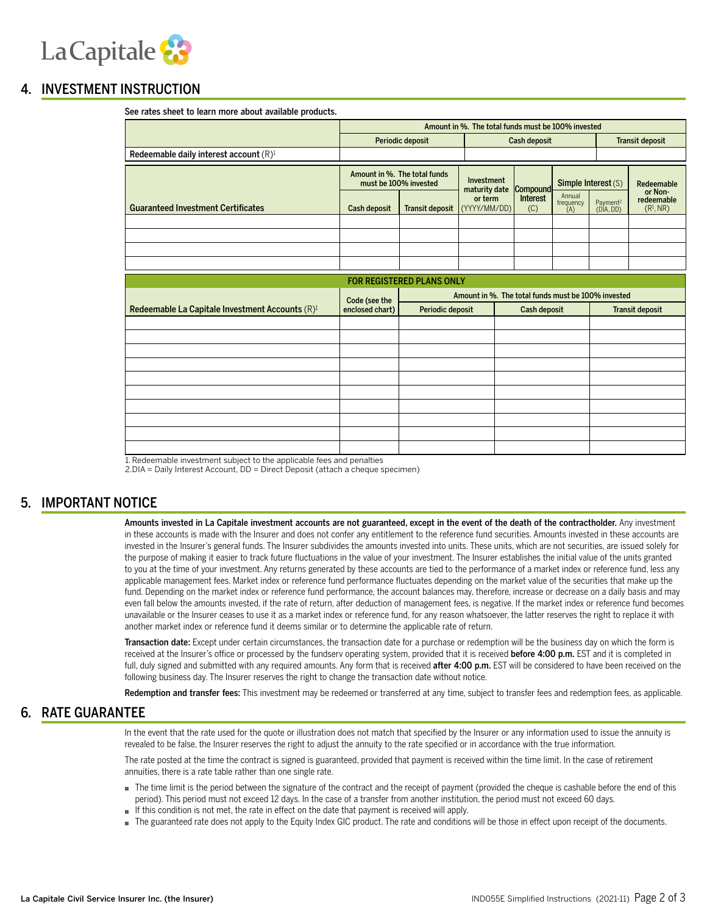

### 4. INVESTMENT INSTRUCTION

| See rates sheet to learn more about available products.     |                                                                     |                                  |                             |                        |                            |                                   |                                                |  |
|-------------------------------------------------------------|---------------------------------------------------------------------|----------------------------------|-----------------------------|------------------------|----------------------------|-----------------------------------|------------------------------------------------|--|
|                                                             | Amount in %. The total funds must be 100% invested                  |                                  |                             |                        |                            |                                   |                                                |  |
|                                                             | Periodic deposit                                                    |                                  | Cash deposit                |                        |                            |                                   | <b>Transit deposit</b>                         |  |
| Redeemable daily interest account (R) <sup>1</sup>          |                                                                     |                                  |                             |                        |                            |                                   |                                                |  |
|                                                             | Amount in %. The total funds<br>must be 100% invested               |                                  | Investment<br>maturity date | <b>Compound</b>        | Simple Interest (S)        |                                   | Redeemable                                     |  |
| <b>Guaranteed Investment Certificates</b>                   | Cash deposit                                                        | <b>Transit deposit</b>           | or term<br>(YYYY/MM/DD)     | <b>Interest</b><br>(C) | Annual<br>frequency<br>(A) | Payment <sup>2</sup><br>(DIA, DD) | or Non-<br>redeemable<br>(R <sup>1</sup> , NR) |  |
|                                                             |                                                                     |                                  |                             |                        |                            |                                   |                                                |  |
|                                                             |                                                                     |                                  |                             |                        |                            |                                   |                                                |  |
|                                                             |                                                                     |                                  |                             |                        |                            |                                   |                                                |  |
|                                                             |                                                                     |                                  |                             |                        |                            |                                   |                                                |  |
|                                                             |                                                                     | <b>FOR REGISTERED PLANS ONLY</b> |                             |                        |                            |                                   |                                                |  |
|                                                             | Amount in %. The total funds must be 100% invested<br>Code (see the |                                  |                             |                        |                            |                                   |                                                |  |
| Redeemable La Capitale Investment Accounts (R) <sup>1</sup> | enclosed chart)                                                     | Periodic deposit                 |                             | Cash deposit           |                            | <b>Transit deposit</b>            |                                                |  |
|                                                             |                                                                     |                                  |                             |                        |                            |                                   |                                                |  |
|                                                             |                                                                     |                                  |                             |                        |                            |                                   |                                                |  |
|                                                             |                                                                     |                                  |                             |                        |                            |                                   |                                                |  |
|                                                             |                                                                     |                                  |                             |                        |                            |                                   |                                                |  |
|                                                             |                                                                     |                                  |                             |                        |                            |                                   |                                                |  |
|                                                             |                                                                     |                                  |                             |                        |                            |                                   |                                                |  |
|                                                             |                                                                     |                                  |                             |                        |                            |                                   |                                                |  |
|                                                             |                                                                     |                                  |                             |                        |                            |                                   |                                                |  |
|                                                             |                                                                     |                                  |                             |                        |                            |                                   |                                                |  |
|                                                             |                                                                     |                                  |                             |                        |                            |                                   |                                                |  |

See rates sheet to learn more about available products.

1.Redeemable investment subject to the applicable fees and penalties

2.DIA = Daily Interest Account, DD = Direct Deposit (attach a cheque specimen)

### 5. IMPORTANT NOTICE

Amounts invested in La Capitale investment accounts are not guaranteed, except in the event of the death of the contractholder. Any investment in these accounts is made with the Insurer and does not confer any entitlement to the reference fund securities. Amounts invested in these accounts are invested in the Insurer's general funds. The Insurer subdivides the amounts invested into units. These units, which are not securities, are issued solely for the purpose of making it easier to track future fluctuations in the value of your investment. The Insurer establishes the initial value of the units granted to you at the time of your investment. Any returns generated by these accounts are tied to the performance of a market index or reference fund, less any applicable management fees. Market index or reference fund performance fluctuates depending on the market value of the securities that make up the fund. Depending on the market index or reference fund performance, the account balances may, therefore, increase or decrease on a daily basis and may even fall below the amounts invested, if the rate of return, after deduction of management fees, is negative. If the market index or reference fund becomes unavailable or the Insurer ceases to use it as a market index or reference fund, for any reason whatsoever, the latter reserves the right to replace it with another market index or reference fund it deems similar or to determine the applicable rate of return.

Transaction date: Except under certain circumstances, the transaction date for a purchase or redemption will be the business day on which the form is received at the Insurer's office or processed by the fundserv operating system, provided that it is received before 4:00 p.m. EST and it is completed in full, duly signed and submitted with any required amounts. Any form that is received after 4:00 p.m. EST will be considered to have been received on the following business day. The Insurer reserves the right to change the transaction date without notice.

Redemption and transfer fees: This investment may be redeemed or transferred at any time, subject to transfer fees and redemption fees, as applicable.

### 6. RATE GUARANTEE

In the event that the rate used for the quote or illustration does not match that specified by the Insurer or any information used to issue the annuity is revealed to be false, the Insurer reserves the right to adjust the annuity to the rate specified or in accordance with the true information.

The rate posted at the time the contract is signed is guaranteed, provided that payment is received within the time limit. In the case of retirement annuities, there is a rate table rather than one single rate.

- The time limit is the period between the signature of the contract and the receipt of payment (provided the cheque is cashable before the end of this period). This period must not exceed 12 days. In the case of a transfer from another institution, the period must not exceed 60 days.
- If this condition is not met, the rate in effect on the date that payment is received will apply.
- The guaranteed rate does not apply to the Equity Index GIC product. The rate and conditions will be those in effect upon receipt of the documents.